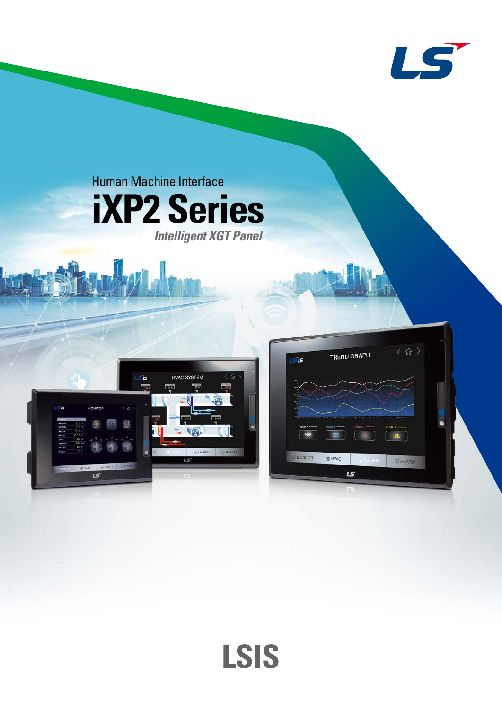



**LSIS**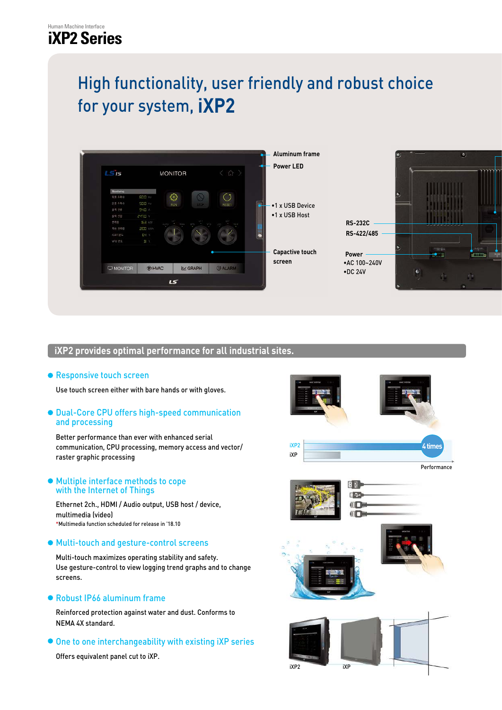# High functionality, user friendly and robust choice for your system, **iXP2**



# **iXP2 provides optimal performance for all industrial sites.**

## **• Responsive touch screen**

Use touch screen either with bare hands or with gloves.

## Dual-Core CPU offers high-speed communication and processing

Better performance than ever with enhanced serial communication, CPU processing, memory access and vector/ raster graphic processing

#### Multiple interface methods to cope with the Internet of Things

Ethernet 2ch., HDMI / Audio output, USB host / device, multimedia (video) \*Multimedia function scheduled for release in '18.10

## Multi-touch and gesture-control screens

Multi-touch maximizes operating stability and safety. Use gesture-control to view logging trend graphs and to change screens.

## Robust IP66 aluminum frame

Reinforced protection against water and dust. Conforms to NEMA 4X standard.

 $\bullet$  One to one interchangeability with existing iXP series

Offers equivalent panel cut to iXP.

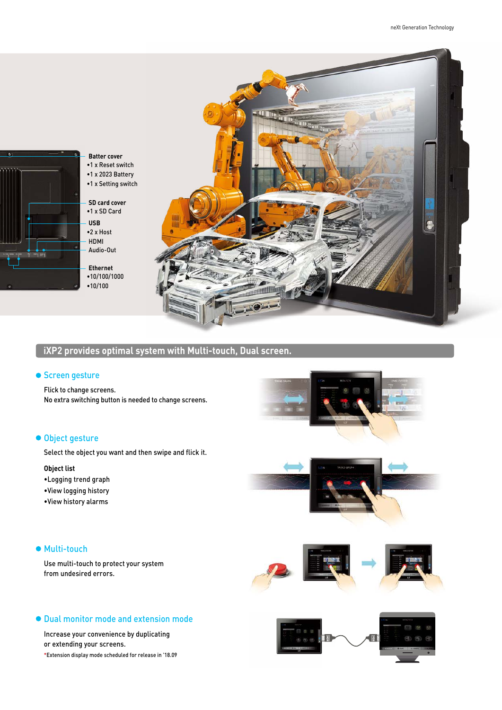

# **iXP2 provides optimal system with Multi-touch, Dual screen.**

#### **• Screen gesture**

Flick to change screens. No extra switching button is needed to change screens.

#### **Object gesture**

Select the object you want and then swipe and flick it.

#### **Object list**

- •Logging trend graph
- •View logging history
- •View history alarms

#### ● Multi-touch

Use multi-touch to protect your system from undesired errors.





#### Dual monitor mode and extension mode

Increase your convenience by duplicating or extending your screens. \*Extension display mode scheduled for release in '18.09